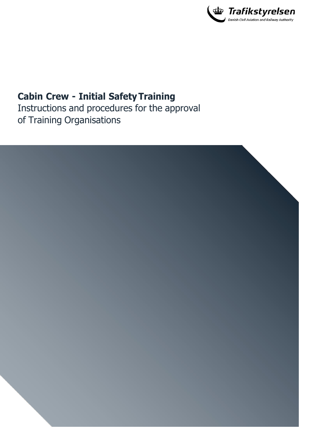

## **Cabin Crew - Initial Safety Training**

Instructions and procedures for the approval of Training Organisations

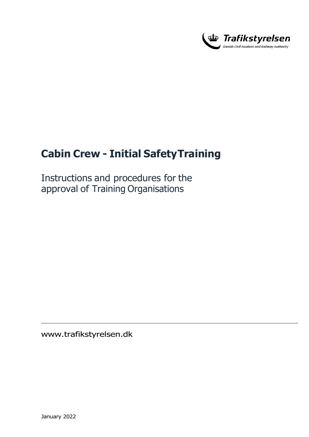

# **Cabin Crew - Initial Safety Training**

Instructions and procedures for the approval of Training Organisations

[www.trafikstyrelsen.d](http://www.trafikstyrelsen.dk/)k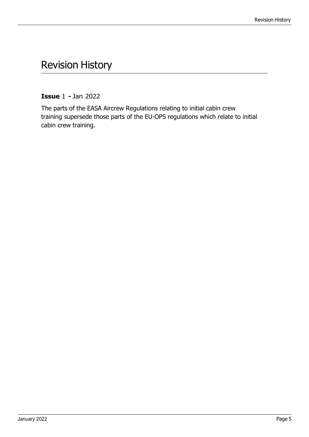## <span id="page-2-0"></span>Revision History

**Issue** 1 **-** Jan 2022

The parts of the EASA Aircrew Regulations relating to initial cabin crew training supersede those parts of the EU-OPS regulations which relate to initial cabin crew training.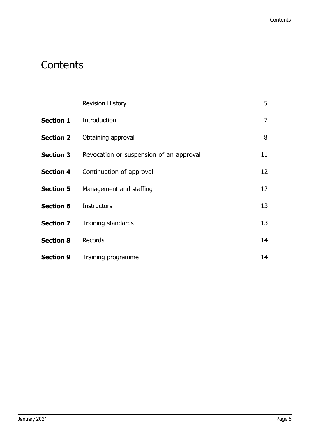# **Contents**

|                  | <b>Revision History</b>                                  | 5              |
|------------------|----------------------------------------------------------|----------------|
|                  | <b>Section 1</b> Introduction                            | $\overline{7}$ |
|                  | <b>Section 2</b> Obtaining approval                      | 8              |
|                  | <b>Section 3</b> Revocation or suspension of an approval | 11             |
|                  | <b>Section 4</b> Continuation of approval                | 12             |
|                  | <b>Section 5</b> Management and staffing                 | 12             |
| <b>Section 6</b> | <b>Instructors</b>                                       | 13             |
|                  | <b>Section 7</b> Training standards                      | 13             |
| <b>Section 8</b> | Records                                                  | 14             |
|                  | <b>Section 9</b> Training programme                      | 14             |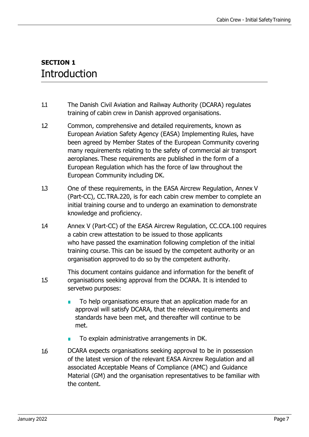#### **SECTION 1 Introduction**

- 1.1 The Danish Civil Aviation and Railway Authority (DCARA) regulates training of cabin crew in Danish approved organisations.
- 1.2 Common, comprehensive and detailed requirements, known as European Aviation Safety Agency (EASA) Implementing Rules, have been agreed by Member States of the European Community covering many requirements relating to the safety of commercial air transport aeroplanes. These requirements are published in the form of a European Regulation which has the force of law throughout the European Community including DK.
- 1.3 One of these requirements, in the EASA Aircrew Regulation, Annex V (Part-CC), CC.TRA.220, is for each cabin crew member to complete an initial training course and to undergo an examination to demonstrate knowledge and proficiency.
- 1.4 Annex V (Part-CC) of the EASA Aircrew Regulation, CC.CCA.100 requires a cabin crew attestation to be issued to those applicants who have passed the examination following completion of the initial training course. This can be issued by the competent authority or an organisation approved to do so by the competent authority.
- 1.5 This document contains guidance and information for the benefit of organisations seeking approval from the DCARA. It is intended to servetwo purposes:
	- To help organisations ensure that an application made for an approval will satisfy DCARA, that the relevant requirements and standards have been met, and thereafter will continue to be met.
	- To explain administrative arrangements in DK.
- 1.6 DCARA expects organisations seeking approval to be in possession of the latest version of the relevant EASA Aircrew Regulation and all associated Acceptable Means of Compliance (AMC) and Guidance Material (GM) and the organisation representatives to be familiar with the content.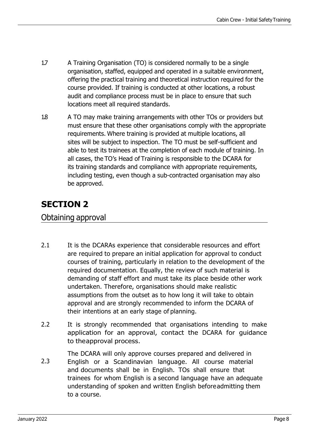- 1.7 A Training Organisation (TO) is considered normally to be a single organisation, staffed, equipped and operated in a suitable environment, offering the practical training and theoretical instruction required for the course provided. If training is conducted at other locations, a robust audit and compliance process must be in place to ensure that such locations meet all required standards.
- 1.8 A TO may make training arrangements with other TOs or providers but must ensure that these other organisations comply with the appropriate requirements. Where training is provided at multiple locations, all sites will be subject to inspection. The TO must be self-sufficient and able to test its trainees at the completion of each module of training. In all cases, the TO's Head of Training is responsible to the DCARA for its training standards and compliance with appropriate requirements, including testing, even though a sub-contracted organisation may also be approved.

### **SECTION 2**

Obtaining approval

- 2.1 It is the DCARAs experience that considerable resources and effort are required to prepare an initial application for approval to conduct courses of training, particularly in relation to the development of the required documentation. Equally, the review of such material is demanding of staff effort and must take its place beside other work undertaken. Therefore, organisations should make realistic assumptions from the outset as to how long it will take to obtain approval and are strongly recommended to inform the DCARA of their intentions at an early stage of planning.
- 2.2 It is strongly recommended that organisations intending to make application for an approval, contact the DCARA for guidance to theapproval process.
- 2.3 The DCARA will only approve courses prepared and delivered in English or a Scandinavian language. All course material and documents shall be in English. TOs shall ensure that trainees for whom English is a second language have an adequate understanding of spoken and written English before admitting them to a course.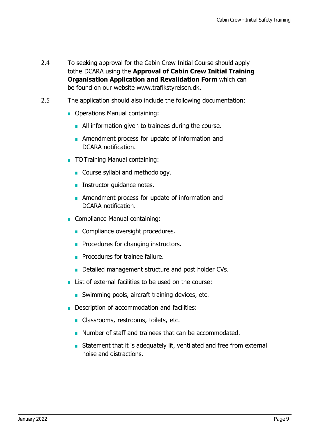- 2.4 To seeking approval for the Cabin Crew Initial Course should apply tothe DCARA using the **Approval of Cabin Crew Initial Training Organisation Application and Revalidation Form** which can be found on our website www.trafikstyrelsen.dk.
- 2.5 The application should also include the following documentation:
	- Operations Manual containing:
		- All information given to trainees during the course.
		- Amendment process for update of information and DCARA notification.
	- TO Training Manual containing:
		- Course syllabi and methodology.
		- Instructor guidance notes.
		- Amendment process for update of information and DCARA notification.
	- Compliance Manual containing:
		- Compliance oversight procedures.
		- Procedures for changing instructors.
		- Procedures for trainee failure.
		- Detailed management structure and post holder CVs.
	- List of external facilities to be used on the course:
		- Swimming pools, aircraft training devices, etc.
	- Description of accommodation and facilities:
		- Classrooms, restrooms, toilets, etc.
		- Number of staff and trainees that can be accommodated.
		- Statement that it is adequately lit, ventilated and free from external noise and distractions.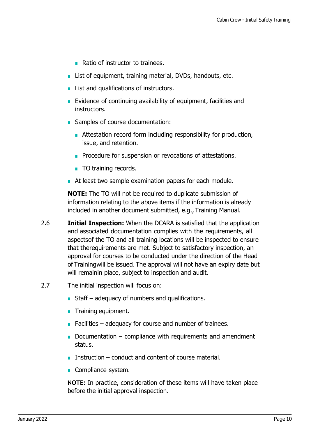- Ratio of instructor to trainees.
- List of equipment, training material, DVDs, handouts, etc.
- List and qualifications of instructors.
- Evidence of continuing availability of equipment, facilities and instructors.
- Samples of course documentation:
	- Attestation record form including responsibility for production, issue, and retention.
	- Procedure for suspension or revocations of attestations.
	- TO training records.
- At least two sample examination papers for each module.

**NOTE:** The TO will not be required to duplicate submission of information relating to the above items if the information is already included in another document submitted, e.g., Training Manual.

- 2.6 **Initial Inspection:** When the DCARA is satisfied that the application and associated documentation complies with the requirements, all aspects of the TO and all training locations will be inspected to ensure that the requirements are met. Subject to satisfactory inspection, an approval for courses to be conducted under the direction of the Head of Training will be issued. The approval will not have an expiry date but will remainin place, subject to inspection and audit.
- 2.7 The initial inspection will focus on:
	- $\blacksquare$  Staff adequacy of numbers and qualifications.
	- Training equipment.
	- **■** Facilities adequacy for course and number of trainees.
	- Documentation compliance with requirements and amendment status.
	- Instruction conduct and content of course material.
	- Compliance system.

**NOTE:** In practice, consideration of these items will have taken place before the initial approval inspection.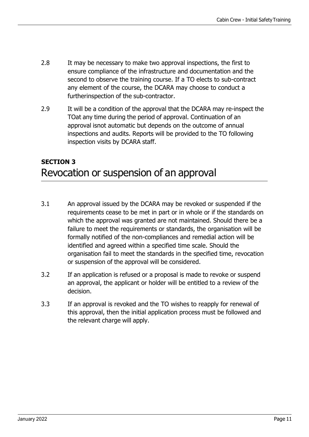- 2.8 It may be necessary to make two approval inspections, the first to ensure compliance of the infrastructure and documentation and the second to observe the training course. If a TO elects to sub-contract any element of the course, the DCARA may choose to conduct a furtherinspection of the sub-contractor.
- 2.9 It will be a condition of the approval that the DCARA may re-inspect the TOat any time during the period of approval. Continuation of an approval isnot automatic but depends on the outcome of annual inspections and audits. Reports will be provided to the TO following inspection visits by DCARA staff.

#### **SECTION 3**  Revocation or suspension of an approval

- 3.1 An approval issued by the DCARA may be revoked or suspended if the requirements cease to be met in part or in whole or if the standards on which the approval was granted are not maintained. Should there be a failure to meet the requirements or standards, the organisation will be formally notified of the non-compliances and remedial action will be identified and agreed within a specified time scale. Should the organisation fail to meet the standards in the specified time, revocation or suspension of the approval will be considered.
- 3.2 If an application is refused or a proposal is made to revoke or suspend an approval, the applicant or holder will be entitled to a review of the decision.
- 3.3 If an approval is revoked and the TO wishes to reapply for renewal of this approval, then the initial application process must be followed and the relevant charge will apply.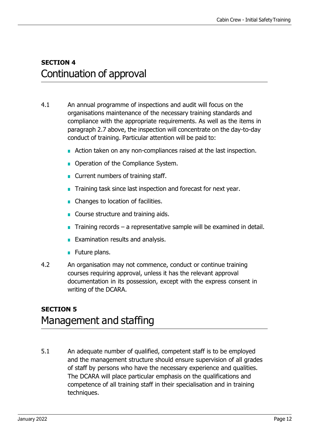#### **SECTION 4**  Continuation of approval

- 4.1 An annual programme of inspections and audit will focus on the organisations maintenance of the necessary training standards and compliance with the appropriate requirements. As well as the items in paragraph 2.7 above, the inspection will concentrate on the day-to-day conduct of training. Particular attention will be paid to:
	- Action taken on any non-compliances raised at the last inspection.
	- Operation of the Compliance System.
	- Current numbers of training staff.
	- Training task since last inspection and forecast for next year.
	- Changes to location of facilities.
	- Course structure and training aids.
	- Training records  $-$  a representative sample will be examined in detail.
	- **Examination results and analysis.**
	- Future plans.
- 4.2 An organisation may not commence, conduct or continue training courses requiring approval, unless it has the relevant approval documentation in its possession, except with the express consent in writing of the DCARA.

#### **SECTION 5** Management and staffing

5.1 An adequate number of qualified, competent staff is to be employed and the management structure should ensure supervision of all grades of staff by persons who have the necessary experience and qualities. The DCARA will place particular emphasis on the qualifications and competence of all training staff in their specialisation and in training techniques.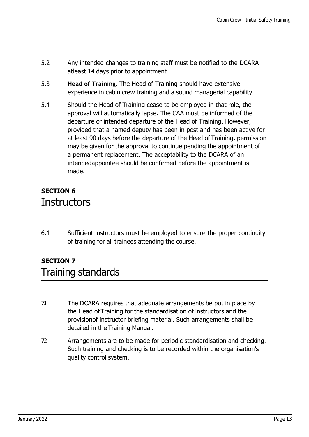- 5.2 Any intended changes to training staff must be notified to the DCARA atleast 14 days prior to appointment.
- 5.3 **Head of Training**. The Head of Training should have extensive experience in cabin crew training and a sound managerial capability.
- 5.4 Should the Head of Training cease to be employed in that role, the approval will automatically lapse. The CAA must be informed of the departure or intended departure of the Head of Training. However, provided that a named deputy has been in post and has been active for at least 90 days before the departure of the Head of Training, permission may be given for the approval to continue pending the appointment of a permanent replacement. The acceptability to the DCARA of an intendedappointee should be confirmed before the appointment is made.

### **SECTION 6 Instructors**

6.1 Sufficient instructors must be employed to ensure the proper continuity of training for all trainees attending the course.

### **SECTION 7**  Training standards

- 7.1 The DCARA requires that adequate arrangements be put in place by the Head of Training for the standardisation of instructors and the provisionof instructor briefing material. Such arrangements shall be detailed in the Training Manual.
- 7.2 Arrangements are to be made for periodic standardisation and checking. Such training and checking is to be recorded within the organisation's quality control system.